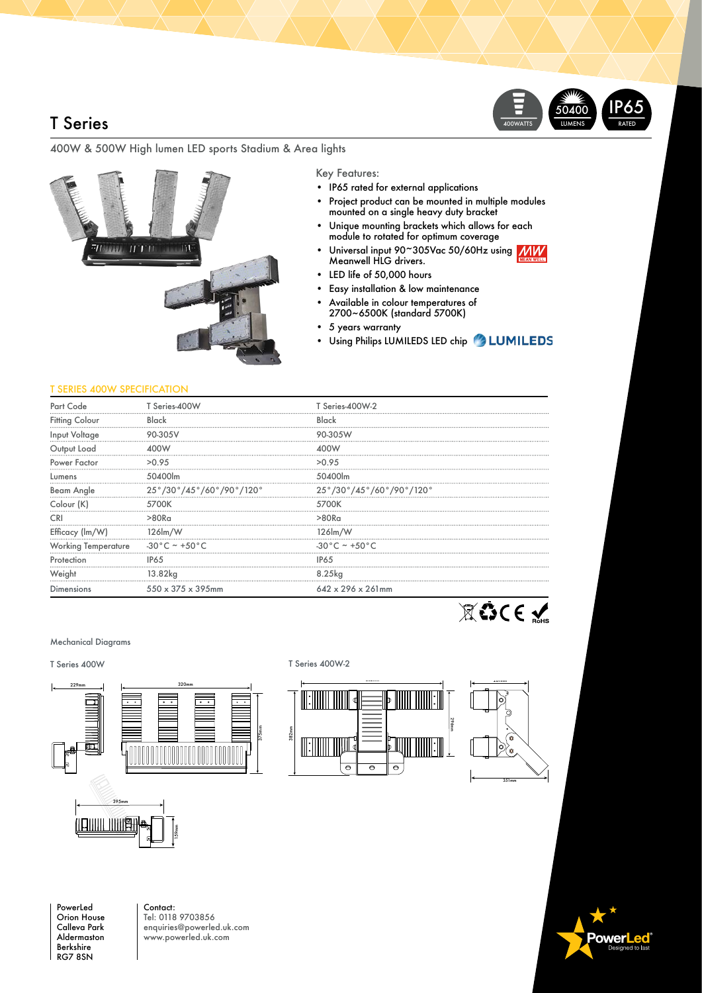## T Series

400WATTS LUMENS RATED LUMENS



400W & 500W High lumen LED sports Stadium & Area lights



### Key Features:

- IP65 rated for external applications
- Project product can be mounted in multiple modules mounted on a single heavy duty bracket
- Unique mounting brackets which allows for each module to rotated for optimum coverage
- Universal input 90~305Vac 50/60Hz using MW Meanwell HLG drivers.
- LED life of 50,000 hours
- Easy installation & low maintenance
- Available in colour temperatures of
- 2700~6500K (standard 5700K)
- 5 years warranty
- Using Philips LUMILEDS LED chip **4 LUMILEDS**

### T SERIES 400W SPECIFICATION

| <b>Part Code</b>      | T Series-400W                                                        | Series-400W-2                                                        |  |
|-----------------------|----------------------------------------------------------------------|----------------------------------------------------------------------|--|
| <b>Fitting Colour</b> | Black                                                                | Black                                                                |  |
| Input Voltage         | 90-305V                                                              | 90-305W                                                              |  |
| Output Load           | 400W                                                                 | 400W                                                                 |  |
| Power Factor          | >0.95                                                                | >0.95                                                                |  |
| <b>Lumens</b>         | 50400lm                                                              | 50400lm                                                              |  |
| Beam Angle            | $25^{\circ}/30^{\circ}/45^{\circ}/60^{\circ}/90^{\circ}/120^{\circ}$ | $25^{\circ}/30^{\circ}/45^{\circ}/60^{\circ}/90^{\circ}/120^{\circ}$ |  |
| Colour (K)            | 5700K                                                                | 5700K                                                                |  |
| CRI                   | >80Ra                                                                | >80R <sub>0</sub>                                                    |  |
| Efficacy (Im/W)       | $126 \text{Im/W}$                                                    | 126 <sub>lm</sub> /W                                                 |  |
| Working Temperature   | $-30^{\circ}$ C ~ +50 $^{\circ}$ C                                   | $-30^{\circ}$ C ~ +50 $^{\circ}$ C                                   |  |
| Protection            | <b>IP65</b>                                                          | <b>IP65</b>                                                          |  |
| Weight                | 13.82kg                                                              | 8.25kg                                                               |  |
| <b>Dimensions</b>     | $550 \times 375 \times 395$ mm                                       | $642 \times 296 \times 261$ mm                                       |  |
|                       |                                                                      |                                                                      |  |

#### Mechanical Diagrams

# T Series 400W T Series 400W-2 320mm 229mm 375mm 395mm **IRIIIILIIIIIIII** 159mm







PowerLed Orion House Calleva Park Aldermaston Berkshire RG7 8SN

Contact: Tel: 0118 9703856 enquiries@powerled.uk.com www.powerled.uk.com